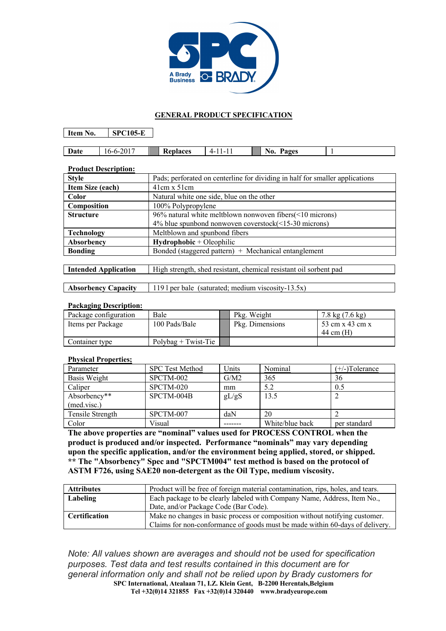

## **GENERAL PRODUCT SPECIFICATION**

**Item No. SPC105-E**

| Date<br>$10-$ | n r<br>----<br>0 I | lantacae<br>к.<br>и<br>1.1.7 | -<br>--<br>. . | Ряоес<br>No.<br>a2c.<br>- |  |
|---------------|--------------------|------------------------------|----------------|---------------------------|--|

| <b>Product Description:</b> |                                                                              |  |
|-----------------------------|------------------------------------------------------------------------------|--|
| <b>Style</b>                | Pads; perforated on centerline for dividing in half for smaller applications |  |
| Item Size (each)            | $41cm \times 51cm$                                                           |  |
| Color                       | Natural white one side, blue on the other                                    |  |
| Composition                 | 100% Polypropylene                                                           |  |
| <b>Structure</b>            | 96% natural white meltblown nonwoven fibers( $\leq 10$ microns)              |  |
|                             | 4% blue spunbond nonwoven coverstock(<15-30 microns)                         |  |
| <b>Technology</b>           | Meltblown and spunbond fibers                                                |  |
| Absorbency                  | $Hydrophobic + Oleophilic$                                                   |  |
| <b>Bonding</b>              | Bonded (staggered pattern) $+$ Mechanical entanglement                       |  |
|                             |                                                                              |  |

| <b>Intended Application</b> | High strength, shed resistant, chemical resistant oil sorbent pad |  |
|-----------------------------|-------------------------------------------------------------------|--|
|                             |                                                                   |  |

**Absorbency Capacity** 119 l per bale (saturated; medium viscosity-13.5x)

## **Packaging Description:**

 $\overline{\phantom{a}}$ 

| Package configuration | Bale                  | Pkg. Weight     | $7.8 \text{ kg} (7.6 \text{ kg})$ |
|-----------------------|-----------------------|-----------------|-----------------------------------|
| Items per Package     | 100 Pads/Bale         | Pkg. Dimensions | 53 cm x 43 cm x                   |
|                       |                       |                 | $44 \text{ cm (H)}$               |
| Container type        | $Polybae + Twist-Tie$ |                 |                                   |

## **Physical Properties;**

| Parameter        | <b>SPC Test Method</b> | Units | Nominal         | $(+/-)$ Tolerance |
|------------------|------------------------|-------|-----------------|-------------------|
| Basis Weight     | SPCTM-002              | G/M2  | 365             | 36                |
| Caliper          | SPCTM-020              | mm    | 5.2             | 0.5               |
| Absorbency**     | SPCTM-004B             | gL/gS | 13.5            |                   |
| (med.visc.)      |                        |       |                 |                   |
| Tensile Strength | SPCTM-007              | daN   | 20              |                   |
| Color            | Visual                 |       | White/blue back | per standard      |

**The above properties are "nominal" values used for PROCESS CONTROL when the product is produced and/or inspected. Performance "nominals" may vary depending upon the specific application, and/or the environment being applied, stored, or shipped. \*\* The "Absorbency" Spec and "SPCTM004" test method is based on the protocol of ASTM F726, using SAE20 non-detergent as the Oil Type, medium viscosity.**

| <b>Attributes</b>    | Product will be free of foreign material contamination, rips, holes, and tears. |  |
|----------------------|---------------------------------------------------------------------------------|--|
| Labeling             | Each package to be clearly labeled with Company Name, Address, Item No.,        |  |
|                      | Date, and/or Package Code (Bar Code).                                           |  |
| <b>Certification</b> | Make no changes in basic process or composition without notifying customer.     |  |
|                      | Claims for non-conformance of goods must be made within 60-days of delivery.    |  |

**SPC International, Atealaan 71, I.Z. Klein Gent, B-2200 Herentals,Belgium Tel +32(0)14 321855 Fax +32(0)14 320440 www.bradyeurope.com** *Note: All values shown are averages and should not be used for specification purposes. Test data and test results contained in this document are for general information only and shall not be relied upon by Brady customers for*